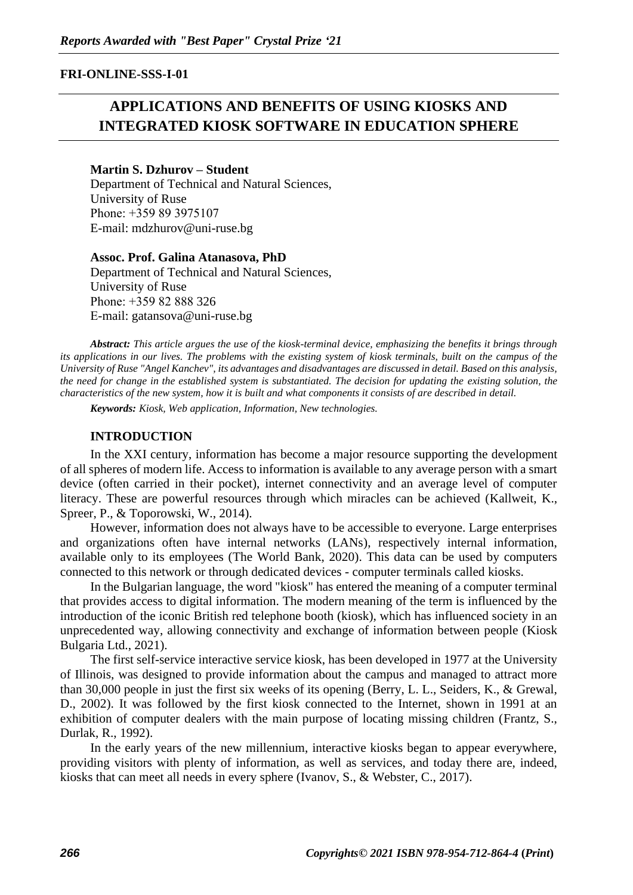### **FRI-ONLINE-SSS-I-01**

# **APPLICATIONS AND BENEFITS OF USING KIOSKS AND INTEGRATED KIOSK SOFTWARE IN EDUCATION SPHERE**

#### **Martin S. Dzhurov – Student**

Department of Technical and Natural Sciences, University of Ruse Рhone: +359 89 3975107 E-mail: mdzhurov@uni-ruse.bg

#### **Assoc. Prof. Galina Atanasova, PhD**

Department of Technical and Natural Sciences, University of Ruse Рhone: +359 82 888 326 Е-mail: gatansova@uni-ruse.bg

*Abstract: This article argues the use of the kiosk-terminal device, emphasizing the benefits it brings through its applications in our lives. The problems with the existing system of kiosk terminals, built on the campus of the University of Ruse "Angel Kanchev", its advantages and disadvantages are discussed in detail. Based on this analysis, the need for change in the established system is substantiated. The decision for updating the existing solution, the characteristics of the new system, how it is built and what components it consists of are described in detail.*

*Keywords: Kiosk, Web application, Information, New technologies.*

#### **INTRODUCTION**

In the XXI century, information has become a major resource supporting the development of all spheres of modern life. Access to information is available to any average person with a smart device (often carried in their pocket), internet connectivity and an average level of computer literacy. These are powerful resources through which miracles can be achieved (Kallweit, K., Spreer, P., & Toporowski, W., 2014).

However, information does not always have to be accessible to everyone. Large enterprises and organizations often have internal networks (LANs), respectively internal information, available only to its employees (The World Bank, 2020). This data can be used by computers connected to this network or through dedicated devices - computer terminals called kiosks.

In the Bulgarian language, the word "kiosk" has entered the meaning of a computer terminal that provides access to digital information. The modern meaning of the term is influenced by the introduction of the iconic British red telephone booth (kiosk), which has influenced society in an unprecedented way, allowing connectivity and exchange of information between people (Kiosk Bulgaria Ltd., 2021).

The first self-service interactive service kiosk, has been developed in 1977 at the University of Illinois, was designed to provide information about the campus and managed to attract more than 30,000 people in just the first six weeks of its opening (Berry, L. L., Seiders, K., & Grewal, D., 2002). It was followed by the first kiosk connected to the Internet, shown in 1991 at an exhibition of computer dealers with the main purpose of locating missing children (Frantz, S., Durlak, R., 1992).

In the early years of the new millennium, interactive kiosks began to appear everywhere, providing visitors with plenty of information, as well as services, and today there are, indeed, kiosks that can meet all needs in every sphere (Ivanov, S., & Webster, C., 2017).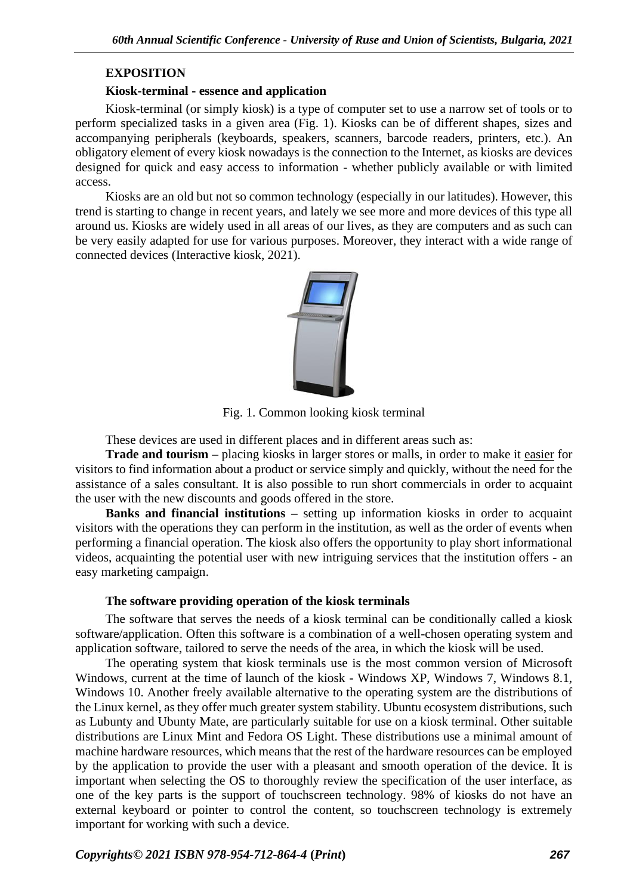# **EXPOSITION**

### **Kiosk-terminal - essence and application**

Kiosk-terminal (or simply kiosk) is a type of computer set to use a narrow set of tools or to perform specialized tasks in a given area (Fig. 1). Kiosks can be of different shapes, sizes and accompanying peripherals (keyboards, speakers, scanners, barcode readers, printers, etc.). An obligatory element of every kiosk nowadays is the connection to the Internet, as kiosks are devices designed for quick and easy access to information - whether publicly available or with limited access.

Kiosks are an old but not so common technology (especially in our latitudes). However, this trend is starting to change in recent years, and lately we see more and more devices of this type all around us. Kiosks are widely used in all areas of our lives, as they are computers and as such can be very easily adapted for use for various purposes. Moreover, they interact with a wide range of connected devices (Interactive kiosk, 2021).



Fig. 1. Common looking kiosk terminal

These devices are used in different places and in different areas such as:

**Trade and tourism –** placing kiosks in larger stores or malls, in order to make it easier for visitors to find information about a product or service simply and quickly, without the need for the assistance of a sales consultant. It is also possible to run short commercials in order to acquaint the user with the new discounts and goods offered in the store.

**Banks and financial institutions –** setting up information kiosks in order to acquaint visitors with the operations they can perform in the institution, as well as the order of events when performing a financial operation. The kiosk also offers the opportunity to play short informational videos, acquainting the potential user with new intriguing services that the institution offers - an easy marketing campaign.

# **The software providing operation of the kiosk terminals**

The software that serves the needs of a kiosk terminal can be conditionally called a kiosk software/application. Often this software is a combination of a well-chosen operating system and application software, tailored to serve the needs of the area, in which the kiosk will be used.

The operating system that kiosk terminals use is the most common version of Microsoft Windows, current at the time of launch of the kiosk - Windows XP, Windows 7, Windows 8.1, Windows 10. Another freely available alternative to the operating system are the distributions of the Linux kernel, as they offer much greater system stability. Ubuntu ecosystem distributions, such as Lubunty and Ubunty Mate, are particularly suitable for use on a kiosk terminal. Other suitable distributions are Linux Mint and Fedora OS Light. These distributions use a minimal amount of machine hardware resources, which means that the rest of the hardware resources can be employed by the application to provide the user with a pleasant and smooth operation of the device. It is important when selecting the OS to thoroughly review the specification of the user interface, as one of the key parts is the support of touchscreen technology. 98% of kiosks do not have an external keyboard or pointer to control the content, so touchscreen technology is extremely important for working with such a device.

*Copyrights© 2021 ISBN 978-954-712-864-4* **(***Print***)** *267*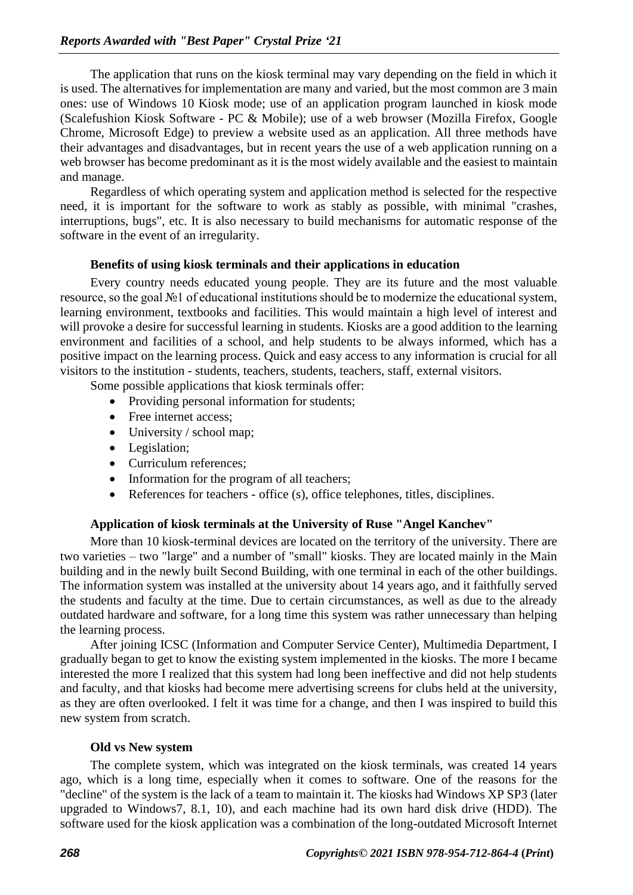The application that runs on the kiosk terminal may vary depending on the field in which it is used. The alternatives for implementation are many and varied, but the most common are 3 main ones: use of Windows 10 Kiosk mode; use of an application program launched in kiosk mode (Scalefushion Kiosk Software - PC & Mobile); use of a web browser (Mozilla Firefox, Google Chrome, Microsoft Edge) to preview a website used as an application. All three methods have their advantages and disadvantages, but in recent years the use of a web application running on a web browser has become predominant as it is the most widely available and the easiest to maintain and manage.

Regardless of which operating system and application method is selected for the respective need, it is important for the software to work as stably as possible, with minimal "crashes, interruptions, bugs", etc. It is also necessary to build mechanisms for automatic response of the software in the event of an irregularity.

#### **Benefits of using kiosk terminals and their applications in education**

Every country needs educated young people. They are its future and the most valuable resource, so the goal №1 of educational institutions should be to modernize the educational system, learning environment, textbooks and facilities. This would maintain a high level of interest and will provoke a desire for successful learning in students. Kiosks are a good addition to the learning environment and facilities of a school, and help students to be always informed, which has a positive impact on the learning process. Quick and easy access to any information is crucial for all visitors to the institution - students, teachers, students, teachers, staff, external visitors.

Some possible applications that kiosk terminals offer:

- Providing personal information for students;
- Free internet access;
- University / school map;
- Legislation;
- Curriculum references;
- Information for the program of all teachers;
- References for teachers office (s), office telephones, titles, disciplines.

#### **Application of kiosk terminals at the University of Ruse "Angel Kanchev"**

More than 10 kiosk-terminal devices are located on the territory of the university. There are two varieties – two "large" and a number of "small" kiosks. They are located mainly in the Main building and in the newly built Second Building, with one terminal in each of the other buildings. The information system was installed at the university about 14 years ago, and it faithfully served the students and faculty at the time. Due to certain circumstances, as well as due to the already outdated hardware and software, for a long time this system was rather unnecessary than helping the learning process.

After joining ICSC (Information and Computer Service Center), Multimedia Department, I gradually began to get to know the existing system implemented in the kiosks. The more I became interested the more I realized that this system had long been ineffective and did not help students and faculty, and that kiosks had become mere advertising screens for clubs held at the university, as they are often overlooked. I felt it was time for a change, and then I was inspired to build this new system from scratch.

#### **Old vs New system**

The complete system, which was integrated on the kiosk terminals, was created 14 years ago, which is a long time, especially when it comes to software. One of the reasons for the "decline" of the system is the lack of a team to maintain it. The kiosks had Windows XP SP3 (later upgraded to Windows7, 8.1, 10), and each machine had its own hard disk drive (HDD). The software used for the kiosk application was a combination of the long-outdated Microsoft Internet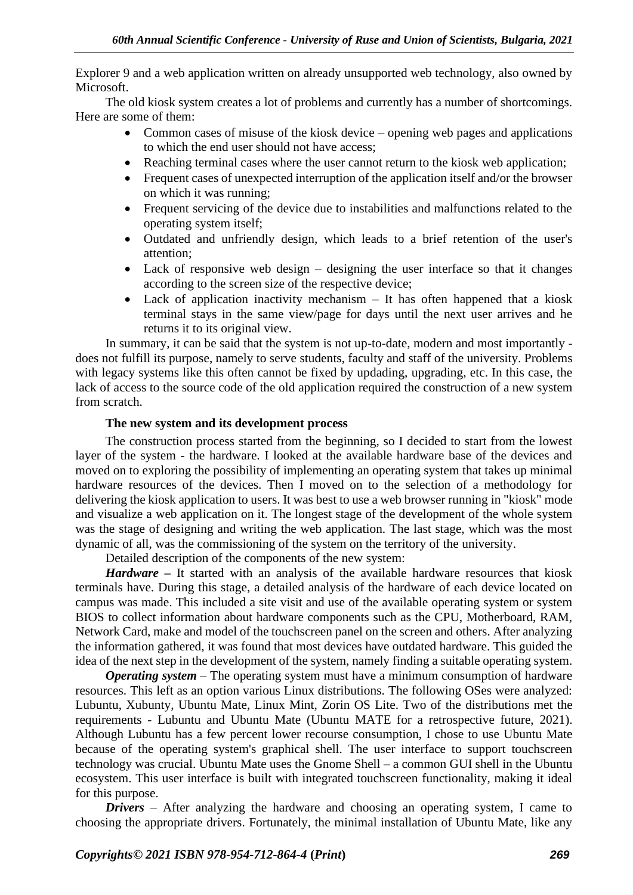Explorer 9 and a web application written on already unsupported web technology, also owned by Microsoft.

The old kiosk system creates a lot of problems and currently has a number of shortcomings. Here are some of them:

- Common cases of misuse of the kiosk device opening web pages and applications to which the end user should not have access;
- Reaching terminal cases where the user cannot return to the kiosk web application;
- Frequent cases of unexpected interruption of the application itself and/or the browser on which it was running;
- Frequent servicing of the device due to instabilities and malfunctions related to the operating system itself;
- Outdated and unfriendly design, which leads to a brief retention of the user's attention;
- Lack of responsive web design designing the user interface so that it changes according to the screen size of the respective device;
- Lack of application inactivity mechanism It has often happened that a kiosk terminal stays in the same view/page for days until the next user arrives and he returns it to its original view.

In summary, it can be said that the system is not up-to-date, modern and most importantly does not fulfill its purpose, namely to serve students, faculty and staff of the university. Problems with legacy systems like this often cannot be fixed by updading, upgrading, etc. In this case, the lack of access to the source code of the old application required the construction of a new system from scratch.

# **The new system and its development process**

The construction process started from the beginning, so I decided to start from the lowest layer of the system - the hardware. I looked at the available hardware base of the devices and moved on to exploring the possibility of implementing an operating system that takes up minimal hardware resources of the devices. Then I moved on to the selection of a methodology for delivering the kiosk application to users. It was best to use a web browser running in "kiosk" mode and visualize a web application on it. The longest stage of the development of the whole system was the stage of designing and writing the web application. The last stage, which was the most dynamic of all, was the commissioning of the system on the territory of the university.

Detailed description of the components of the new system:

*Hardware –* It started with an analysis of the available hardware resources that kiosk terminals have. During this stage, a detailed analysis of the hardware of each device located on campus was made. This included a site visit and use of the available operating system or system BIOS to collect information about hardware components such as the CPU, Motherboard, RAM, Network Card, make and model of the touchscreen panel on the screen and others. After analyzing the information gathered, it was found that most devices have outdated hardware. This guided the idea of the next step in the development of the system, namely finding a suitable operating system.

*Operating system* – The operating system must have a minimum consumption of hardware resources. This left as an option various Linux distributions. The following OSes were analyzed: Lubuntu, Xubunty, Ubuntu Mate, Linux Mint, Zorin OS Lite. Two of the distributions met the requirements - Lubuntu and Ubuntu Mate (Ubuntu MATE for a retrospective future, 2021). Although Lubuntu has a few percent lower recourse consumption, I chose to use Ubuntu Mate because of the operating system's graphical shell. The user interface to support touchscreen technology was crucial. Ubuntu Mate uses the Gnome Shell – a common GUI shell in the Ubuntu ecosystem. This user interface is built with integrated touchscreen functionality, making it ideal for this purpose.

*Drivers* – After analyzing the hardware and choosing an operating system, I came to choosing the appropriate drivers. Fortunately, the minimal installation of Ubuntu Mate, like any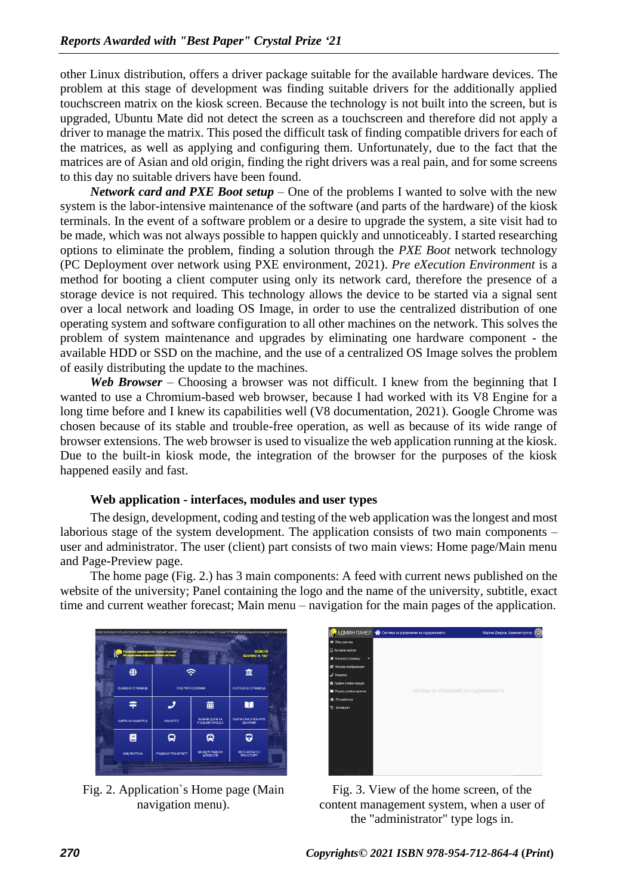other Linux distribution, offers a driver package suitable for the available hardware devices. The problem at this stage of development was finding suitable drivers for the additionally applied touchscreen matrix on the kiosk screen. Because the technology is not built into the screen, but is upgraded, Ubuntu Mate did not detect the screen as a touchscreen and therefore did not apply a driver to manage the matrix. This posed the difficult task of finding compatible drivers for each of the matrices, as well as applying and configuring them. Unfortunately, due to the fact that the matrices are of Asian and old origin, finding the right drivers was a real pain, and for some screens to this day no suitable drivers have been found.

*Network card and PXE Boot setup* – One of the problems I wanted to solve with the new system is the labor-intensive maintenance of the software (and parts of the hardware) of the kiosk terminals. In the event of a software problem or a desire to upgrade the system, a site visit had to be made, which was not always possible to happen quickly and unnoticeably. I started researching options to eliminate the problem, finding a solution through the *PXE Boot* network technology (PC Deployment over network using PXE environment, 2021). *Pre eXecution Environment* is a method for booting a client computer using only its network card, therefore the presence of a storage device is not required. This technology allows the device to be started via a signal sent over a local network and loading OS Image, in order to use the centralized distribution of one operating system and software configuration to all other machines on the network. This solves the problem of system maintenance and upgrades by eliminating one hardware component - the available HDD or SSD on the machine, and the use of a centralized OS Image solves the problem of easily distributing the update to the machines.

*Web Browser* – Choosing a browser was not difficult. I knew from the beginning that I wanted to use a Chromium-based web browser, because I had worked with its V8 Engine for a long time before and I knew its capabilities well (V8 documentation, 2021). Google Chrome was chosen because of its stable and trouble-free operation, as well as because of its wide range of browser extensions. The web browser is used to visualize the web application running at the kiosk. Due to the built-in kiosk mode, the integration of the browser for the purposes of the kiosk happened easily and fast.

#### **Web application - interfaces, modules and user types**

The design, development, coding and testing of the web application was the longest and most laborious stage of the system development. The application consists of two main components – user and administrator. The user (client) part consists of two main views: Home page/Main menu and Page-Preview page.

The home page (Fig. 2.) has 3 main components: A feed with current news published on the website of the university; Panel containing the logo and the name of the university, subtitle, exact time and current weather forecast; Main menu – navigation for the main pages of the application.



Fig. 2. Application`s Home page (Main navigation menu).

|                                                         | <b>Р</b> АДМИН ПАНЕЛ <b>А</b> Система за управление на съдържанието | Мартин Джуров, Администратор |
|---------------------------------------------------------|---------------------------------------------------------------------|------------------------------|
| • Общ преглед                                           |                                                                     |                              |
| <b>Д</b> Активникиоски                                  |                                                                     |                              |
| <b>«</b> Начална страница<br>٠                          |                                                                     |                              |
| • Фонови изображения                                    |                                                                     |                              |
| $J$ Указател                                            |                                                                     |                              |
| Е График учебен процес                                  |                                                                     |                              |
| В Разпис учебни занятия                                 | СИСТЕМА ЗА УПРАВЛЕНИЕ НА СЪДЪРЖАНИЕТО                               |                              |
| 42 Потребители                                          |                                                                     |                              |
| • Активност                                             |                                                                     |                              |
|                                                         |                                                                     |                              |
|                                                         |                                                                     |                              |
|                                                         |                                                                     |                              |
|                                                         |                                                                     |                              |
|                                                         |                                                                     |                              |
|                                                         |                                                                     |                              |
|                                                         |                                                                     |                              |
| PV Maries Kewees" - 2020 - 2021 -<br>Chapagevo off, MSD |                                                                     |                              |

Fig. 3. View of the home screen, of the content management system, when a user of the "administrator" type logs in.